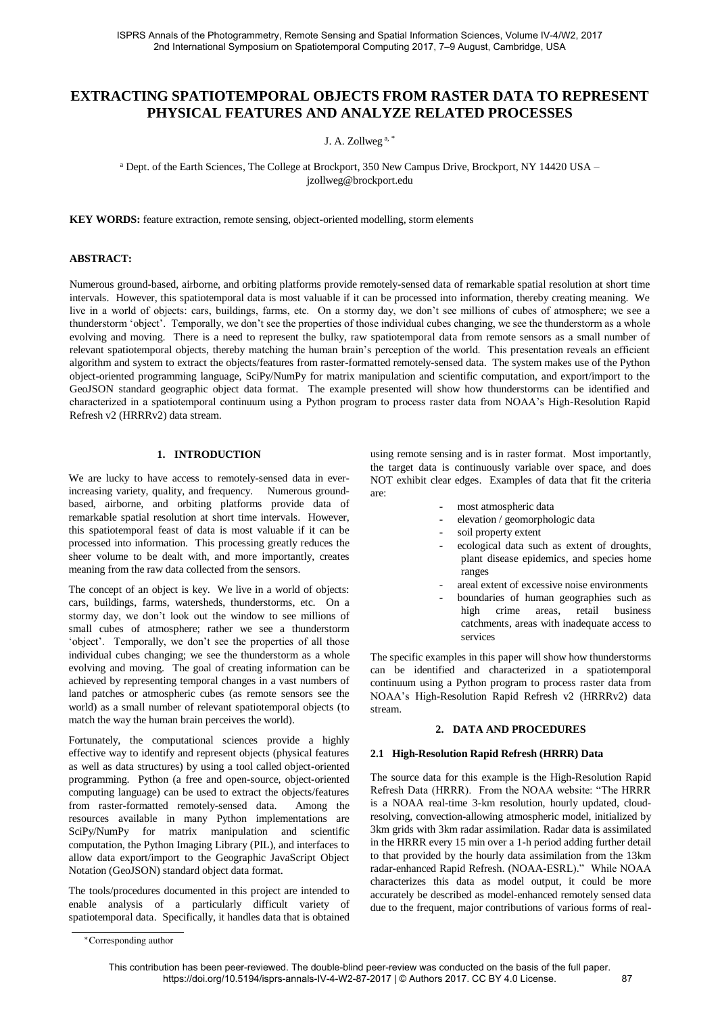# **EXTRACTING SPATIOTEMPORAL OBJECTS FROM RASTER DATA TO REPRESENT PHYSICAL FEATURES AND ANALYZE RELATED PROCESSES**

J. A. Zollweg a, \*

a Dept. of the Earth Sciences, The College at Brockport, 350 New Campus Drive, Brockport, NY 14420 USA – jzollweg@brockport.edu

**KEY WORDS:** feature extraction, remote sensing, object-oriented modelling, storm elements

#### **ABSTRACT:**

Numerous ground-based, airborne, and orbiting platforms provide remotely-sensed data of remarkable spatial resolution at short time intervals. However, this spatiotemporal data is most valuable if it can be processed into information, thereby creating meaning. We live in a world of objects: cars, buildings, farms, etc. On a stormy day, we don't see millions of cubes of atmosphere; we see a thunderstorm 'object'. Temporally, we don't see the properties of those individual cubes changing, we see the thunderstorm as a whole evolving and moving. There is a need to represent the bulky, raw spatiotemporal data from remote sensors as a small number of relevant spatiotemporal objects, thereby matching the human brain's perception of the world. This presentation reveals an efficient algorithm and system to extract the objects/features from raster-formatted remotely-sensed data. The system makes use of the Python object-oriented programming language, SciPy/NumPy for matrix manipulation and scientific computation, and export/import to the GeoJSON standard geographic object data format. The example presented will show how thunderstorms can be identified and characterized in a spatiotemporal continuum using a Python program to process raster data from NOAA's High-Resolution Rapid Refresh v2 (HRRRv2) data stream.

#### **1. INTRODUCTION**

We are lucky to have access to remotely-sensed data in everincreasing variety, quality, and frequency. Numerous groundbased, airborne, and orbiting platforms provide data of remarkable spatial resolution at short time intervals. However, this spatiotemporal feast of data is most valuable if it can be processed into information. This processing greatly reduces the sheer volume to be dealt with, and more importantly, creates meaning from the raw data collected from the sensors.

The concept of an object is key. We live in a world of objects: cars, buildings, farms, watersheds, thunderstorms, etc. On a stormy day, we don't look out the window to see millions of small cubes of atmosphere; rather we see a thunderstorm 'object'. Temporally, we don't see the properties of all those individual cubes changing; we see the thunderstorm as a whole evolving and moving. The goal of creating information can be achieved by representing temporal changes in a vast numbers of land patches or atmospheric cubes (as remote sensors see the world) as a small number of relevant spatiotemporal objects (to match the way the human brain perceives the world).

Fortunately, the computational sciences provide a highly effective way to identify and represent objects (physical features as well as data structures) by using a tool called object-oriented programming. Python (a free and open-source, object-oriented computing language) can be used to extract the objects/features from raster-formatted remotely-sensed data. Among the resources available in many Python implementations are SciPy/NumPy for matrix manipulation and scientific computation, the Python Imaging Library (PIL), and interfaces to allow data export/import to the Geographic JavaScript Object Notation (GeoJSON) standard object data format.

The tools/procedures documented in this project are intended to enable analysis of a particularly difficult variety of spatiotemporal data. Specifically, it handles data that is obtained using remote sensing and is in raster format. Most importantly, the target data is continuously variable over space, and does NOT exhibit clear edges. Examples of data that fit the criteria are:

- most atmospheric data
	- elevation / geomorphologic data
	- soil property extent
	- ecological data such as extent of droughts, plant disease epidemics, and species home ranges
	- areal extent of excessive noise environments
	- boundaries of human geographies such as high crime areas, retail business catchments, areas with inadequate access to services

The specific examples in this paper will show how thunderstorms can be identified and characterized in a spatiotemporal continuum using a Python program to process raster data from NOAA's High-Resolution Rapid Refresh v2 (HRRRv2) data stream.

#### **2. DATA AND PROCEDURES**

#### **2.1 High-Resolution Rapid Refresh (HRRR) Data**

The source data for this example is the High-Resolution Rapid Refresh Data (HRRR). From the NOAA website: "The HRRR is a NOAA real-time 3-km resolution, hourly updated, cloudresolving, convection-allowing atmospheric model, initialized by 3km grids with 3km radar assimilation. Radar data is assimilated in the HRRR every 15 min over a 1-h period adding further detail to that provided by the hourly data assimilation from the 13km radar-enhanced Rapid Refresh. (NOAA-ESRL)." While NOAA characterizes this data as model output, it could be more accurately be described as model-enhanced remotely sensed data due to the frequent, major contributions of various forms of real-

<sup>∗</sup>Corresponding author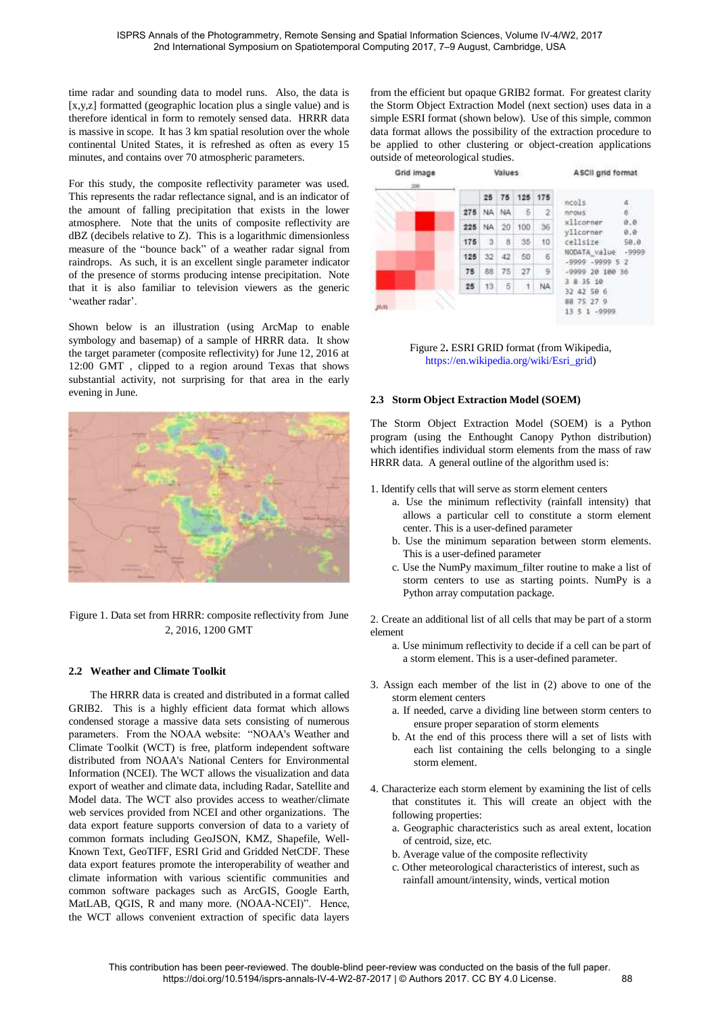time radar and sounding data to model runs. Also, the data is [x,y,z] formatted (geographic location plus a single value) and is therefore identical in form to remotely sensed data. HRRR data is massive in scope. It has 3 km spatial resolution over the whole continental United States, it is refreshed as often as every 15 minutes, and contains over 70 atmospheric parameters.

For this study, the composite reflectivity parameter was used. This represents the radar reflectance signal, and is an indicator of the amount of falling precipitation that exists in the lower atmosphere. Note that the units of composite reflectivity are dBZ (decibels relative to Z). This is a logarithmic dimensionless measure of the "bounce back" of a weather radar signal from raindrops. As such, it is an excellent single parameter indicator of the presence of storms producing intense precipitation. Note that it is also familiar to television viewers as the generic 'weather radar'.

Shown below is an illustration (using ArcMap to enable symbology and basemap) of a sample of HRRR data. It show the target parameter (composite reflectivity) for June 12, 2016 at 12:00 GMT , clipped to a region around Texas that shows substantial activity, not surprising for that area in the early evening in June.



Figure 1. Data set from HRRR: composite reflectivity from June 2, 2016, 1200 GMT

# **2.2 Weather and Climate Toolkit**

The HRRR data is created and distributed in a format called GRIB2. This is a highly efficient data format which allows condensed storage a massive data sets consisting of numerous parameters. From the NOAA website: "NOAA's Weather and Climate Toolkit (WCT) is free, platform independent software distributed from NOAA's National Centers for Environmental Information (NCEI). The WCT allows the visualization and data export of weather and climate data, including Radar, Satellite and Model data. The WCT also provides access to weather/climate web services provided from NCEI and other organizations. The data export feature supports conversion of data to a variety of common formats including GeoJSON, KMZ, Shapefile, Well-Known Text, GeoTIFF, ESRI Grid and Gridded NetCDF. These data export features promote the interoperability of weather and climate information with various scientific communities and common software packages such as ArcGIS, Google Earth, MatLAB, QGIS, R and many more. (NOAA-NCEI)". Hence, the WCT allows convenient extraction of specific data layers

from the efficient but opaque GRIB2 format. For greatest clarity the Storm Object Extraction Model (next section) uses data in a simple ESRI format (shown below). Use of this simple, common data format allows the possibility of the extraction procedure to be applied to other clustering or object-creation applications outside of meteorological studies.



Figure 2**.** ESRI GRID format (from Wikipedia, [https://en.wikipedia.org/wiki/Esri\\_grid\)](https://en.wikipedia.org/wiki/Esri_grid)

#### **2.3 Storm Object Extraction Model (SOEM)**

The Storm Object Extraction Model (SOEM) is a Python program (using the Enthought Canopy Python distribution) which identifies individual storm elements from the mass of raw HRRR data. A general outline of the algorithm used is:

1. Identify cells that will serve as storm element centers

- a. Use the minimum reflectivity (rainfall intensity) that allows a particular cell to constitute a storm element center. This is a user-defined parameter
- b. Use the minimum separation between storm elements. This is a user-defined parameter
- c. Use the NumPy maximum\_filter routine to make a list of storm centers to use as starting points. NumPy is a Python array computation package.

2. Create an additional list of all cells that may be part of a storm element

- a. Use minimum reflectivity to decide if a cell can be part of a storm element. This is a user-defined parameter.
- 3. Assign each member of the list in (2) above to one of the storm element centers
	- a. If needed, carve a dividing line between storm centers to ensure proper separation of storm elements
	- b. At the end of this process there will a set of lists with each list containing the cells belonging to a single storm element.
- 4. Characterize each storm element by examining the list of cells that constitutes it. This will create an object with the following properties:
	- a. Geographic characteristics such as areal extent, location of centroid, size, etc.
	- b. Average value of the composite reflectivity
	- c. Other meteorological characteristics of interest, such as rainfall amount/intensity, winds, vertical motion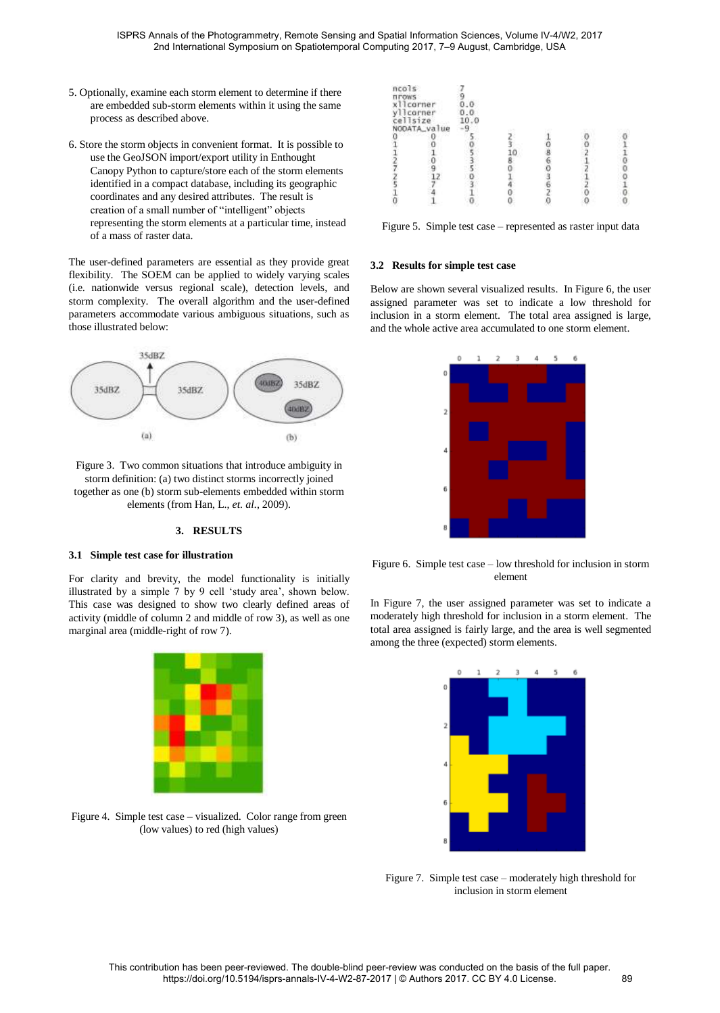- 5. Optionally, examine each storm element to determine if there are embedded sub-storm elements within it using the same process as described above.
- 6. Store the storm objects in convenient format. It is possible to use the GeoJSON import/export utility in Enthought Canopy Python to capture/store each of the storm elements identified in a compact database, including its geographic coordinates and any desired attributes. The result is creation of a small number of "intelligent" objects representing the storm elements at a particular time, instead of a mass of raster data.

The user-defined parameters are essential as they provide great flexibility. The SOEM can be applied to widely varying scales (i.e. nationwide versus regional scale), detection levels, and storm complexity. The overall algorithm and the user-defined parameters accommodate various ambiguous situations, such as those illustrated below:



Figure 3. Two common situations that introduce ambiguity in storm definition: (a) two distinct storms incorrectly joined together as one (b) storm sub-elements embedded within storm elements (from Han, L., *et. al.*, 2009).

#### **3. RESULTS**

# **3.1 Simple test case for illustration**

For clarity and brevity, the model functionality is initially illustrated by a simple 7 by 9 cell 'study area', shown below. This case was designed to show two clearly defined areas of activity (middle of column 2 and middle of row 3), as well as one marginal area (middle-right of row 7).



Figure 4. Simple test case – visualized. Color range from green (low values) to red (high values)

| ncols<br><b>TITOWS</b><br>xllcorner<br>yllcorner<br>cellsize |  | . 0<br>10.0 |  |  |
|--------------------------------------------------------------|--|-------------|--|--|
| NODATA_value                                                 |  |             |  |  |
|                                                              |  |             |  |  |
|                                                              |  |             |  |  |
|                                                              |  |             |  |  |
|                                                              |  |             |  |  |
|                                                              |  |             |  |  |
|                                                              |  |             |  |  |
|                                                              |  |             |  |  |
|                                                              |  |             |  |  |
|                                                              |  |             |  |  |

Figure 5. Simple test case – represented as raster input data

#### **3.2 Results for simple test case**

Below are shown several visualized results. In Figure 6, the user assigned parameter was set to indicate a low threshold for inclusion in a storm element. The total area assigned is large, and the whole active area accumulated to one storm element.



Figure 6. Simple test case – low threshold for inclusion in storm element

In Figure 7, the user assigned parameter was set to indicate a moderately high threshold for inclusion in a storm element. The total area assigned is fairly large, and the area is well segmented among the three (expected) storm elements.



Figure 7. Simple test case – moderately high threshold for inclusion in storm element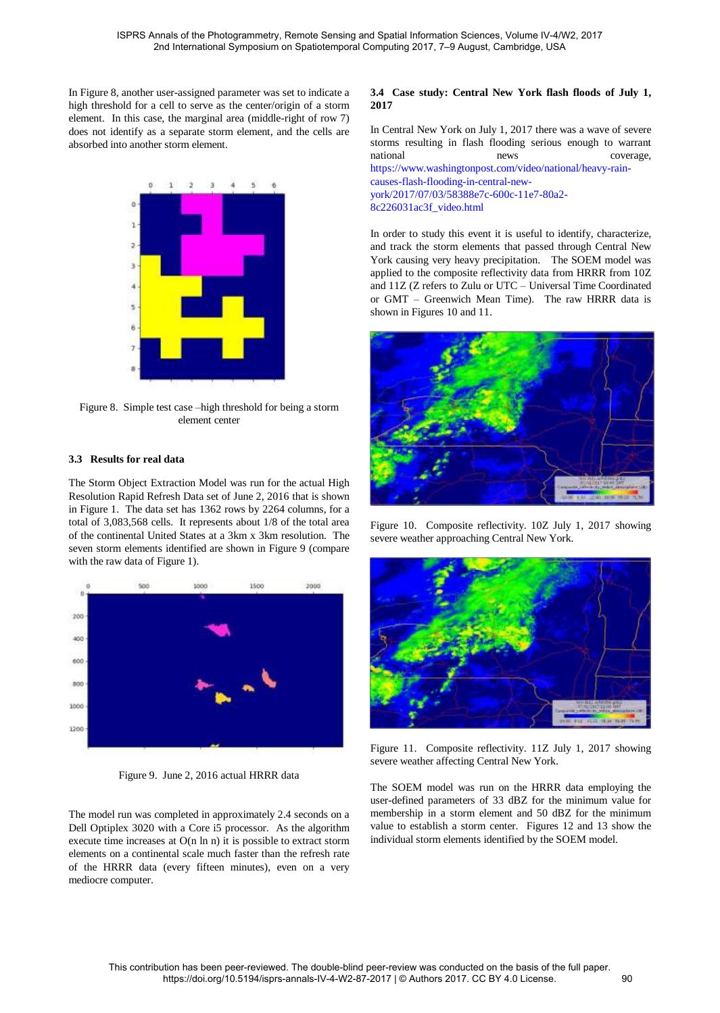In Figure 8, another user-assigned parameter was set to indicate a high threshold for a cell to serve as the center/origin of a storm element. In this case, the marginal area (middle-right of row 7) does not identify as a separate storm element, and the cells are absorbed into another storm element.



Figure 8. Simple test case –high threshold for being a storm element center

# **3.3 Results for real data**

The Storm Object Extraction Model was run for the actual High Resolution Rapid Refresh Data set of June 2, 2016 that is shown in Figure 1. The data set has 1362 rows by 2264 columns, for a total of 3,083,568 cells. It represents about 1/8 of the total area of the continental United States at a 3km x 3km resolution. The seven storm elements identified are shown in Figure 9 (compare with the raw data of Figure 1).



Figure 9. June 2, 2016 actual HRRR data

The model run was completed in approximately 2.4 seconds on a Dell Optiplex 3020 with a Core i5 processor. As the algorithm execute time increases at O(n ln n) it is possible to extract storm elements on a continental scale much faster than the refresh rate of the HRRR data (every fifteen minutes), even on a very mediocre computer.

# **3.4 Case study: Central New York flash floods of July 1, 2017**

In Central New York on July 1, 2017 there was a wave of severe storms resulting in flash flooding serious enough to warrant national news news coverage, [https://www.washingtonpost.com/video/national/heavy-rain](https://www.washingtonpost.com/video/national/heavy-rain-causes-flash-flooding-in-central-new-york/2017/07/03/58388e7c-600c-11e7-80a2-8c226031ac3f_video.html)[causes-flash-flooding-in-central-new](https://www.washingtonpost.com/video/national/heavy-rain-causes-flash-flooding-in-central-new-york/2017/07/03/58388e7c-600c-11e7-80a2-8c226031ac3f_video.html)[york/2017/07/03/58388e7c-600c-11e7-80a2-](https://www.washingtonpost.com/video/national/heavy-rain-causes-flash-flooding-in-central-new-york/2017/07/03/58388e7c-600c-11e7-80a2-8c226031ac3f_video.html) [8c226031ac3f\\_video.html](https://www.washingtonpost.com/video/national/heavy-rain-causes-flash-flooding-in-central-new-york/2017/07/03/58388e7c-600c-11e7-80a2-8c226031ac3f_video.html)

In order to study this event it is useful to identify, characterize, and track the storm elements that passed through Central New York causing very heavy precipitation. The SOEM model was applied to the composite reflectivity data from HRRR from 10Z and 11Z (Z refers to Zulu or UTC – Universal Time Coordinated or GMT – Greenwich Mean Time). The raw HRRR data is shown in Figures 10 and 11.



Figure 10. Composite reflectivity. 10Z July 1, 2017 showing severe weather approaching Central New York.



Figure 11. Composite reflectivity. 11Z July 1, 2017 showing severe weather affecting Central New York.

The SOEM model was run on the HRRR data employing the user-defined parameters of 33 dBZ for the minimum value for membership in a storm element and 50 dBZ for the minimum value to establish a storm center. Figures 12 and 13 show the individual storm elements identified by the SOEM model.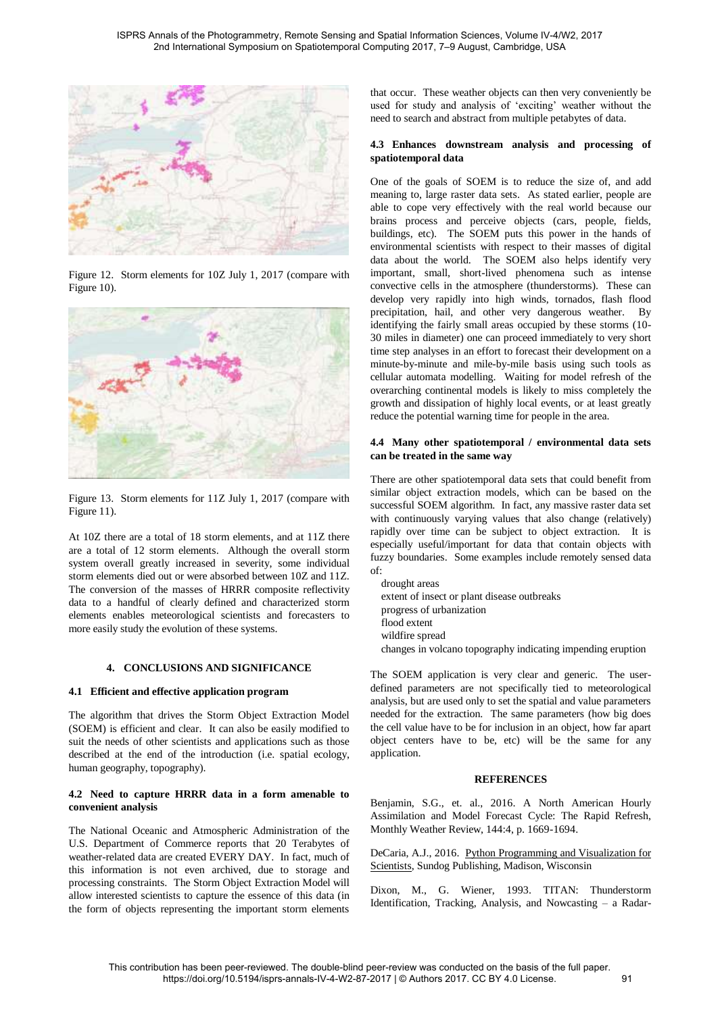

Figure 12. Storm elements for 10Z July 1, 2017 (compare with Figure 10).



Figure 13. Storm elements for 11Z July 1, 2017 (compare with Figure 11).

At 10Z there are a total of 18 storm elements, and at 11Z there are a total of 12 storm elements. Although the overall storm system overall greatly increased in severity, some individual storm elements died out or were absorbed between 10Z and 11Z. The conversion of the masses of HRRR composite reflectivity data to a handful of clearly defined and characterized storm elements enables meteorological scientists and forecasters to more easily study the evolution of these systems.

# **4. CONCLUSIONS AND SIGNIFICANCE**

# **4.1 Efficient and effective application program**

The algorithm that drives the Storm Object Extraction Model (SOEM) is efficient and clear. It can also be easily modified to suit the needs of other scientists and applications such as those described at the end of the introduction (i.e. spatial ecology, human geography, topography).

# **4.2 Need to capture HRRR data in a form amenable to convenient analysis**

The National Oceanic and Atmospheric Administration of the U.S. Department of Commerce reports that 20 Terabytes of weather-related data are created EVERY DAY. In fact, much of this information is not even archived, due to storage and processing constraints. The Storm Object Extraction Model will allow interested scientists to capture the essence of this data (in the form of objects representing the important storm elements

that occur. These weather objects can then very conveniently be used for study and analysis of 'exciting' weather without the need to search and abstract from multiple petabytes of data.

# **4.3 Enhances downstream analysis and processing of spatiotemporal data**

One of the goals of SOEM is to reduce the size of, and add meaning to, large raster data sets. As stated earlier, people are able to cope very effectively with the real world because our brains process and perceive objects (cars, people, fields, buildings, etc). The SOEM puts this power in the hands of environmental scientists with respect to their masses of digital data about the world. The SOEM also helps identify very important, small, short-lived phenomena such as intense convective cells in the atmosphere (thunderstorms). These can develop very rapidly into high winds, tornados, flash flood precipitation, hail, and other very dangerous weather. By identifying the fairly small areas occupied by these storms (10- 30 miles in diameter) one can proceed immediately to very short time step analyses in an effort to forecast their development on a minute-by-minute and mile-by-mile basis using such tools as cellular automata modelling. Waiting for model refresh of the overarching continental models is likely to miss completely the growth and dissipation of highly local events, or at least greatly reduce the potential warning time for people in the area.

# **4.4 Many other spatiotemporal / environmental data sets can be treated in the same way**

There are other spatiotemporal data sets that could benefit from similar object extraction models, which can be based on the successful SOEM algorithm. In fact, any massive raster data set with continuously varying values that also change (relatively) rapidly over time can be subject to object extraction. It is especially useful/important for data that contain objects with fuzzy boundaries. Some examples include remotely sensed data of:

drought areas extent of insect or plant disease outbreaks progress of urbanization flood extent wildfire spread changes in volcano topography indicating impending eruption

The SOEM application is very clear and generic. The userdefined parameters are not specifically tied to meteorological analysis, but are used only to set the spatial and value parameters needed for the extraction. The same parameters (how big does the cell value have to be for inclusion in an object, how far apart object centers have to be, etc) will be the same for any application.

# **REFERENCES**

Benjamin, S.G., et. al., 2016. A North American Hourly Assimilation and Model Forecast Cycle: The Rapid Refresh, Monthly Weather Review, 144:4, p. 1669-1694.

DeCaria, A.J., 2016. Python Programming and Visualization for Scientists, Sundog Publishing, Madison, Wisconsin

Dixon, M., G. Wiener, 1993. TITAN: Thunderstorm Identification, Tracking, Analysis, and Nowcasting – a Radar-